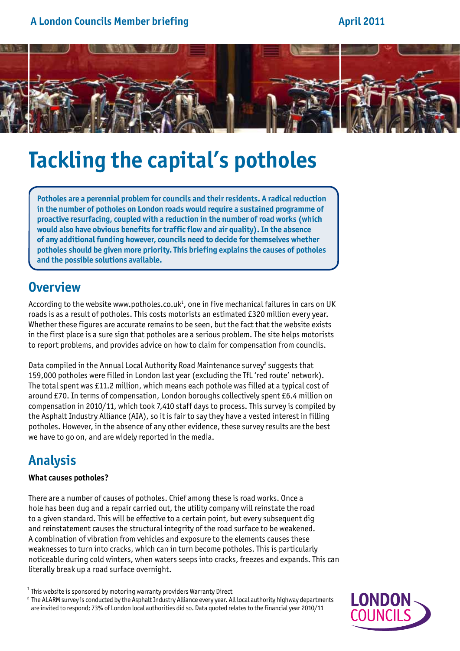### **A London Councils Member briefing**

### **April 2011**



# **Tackling the capital's potholes**

**Potholes are a perennial problem for councils and their residents. A radical reduction in the number of potholes on London roads would require a sustained programme of proactive resurfacing, coupled with a reduction in the number of road works (which would also have obvious benefits for traffic flow and air quality). In the absence of any additional funding however, councils need to decide for themselves whether potholes should be given more priority. This briefing explains the causes of potholes and the possible solutions available.**

# **Overview**

According to the website www.potholes.co.uk $^1$ , one in five mechanical failures in cars on UK roads is as a result of potholes. This costs motorists an estimated £320 million every year. Whether these figures are accurate remains to be seen, but the fact that the website exists in the first place is a sure sign that potholes are a serious problem. The site helps motorists to report problems, and provides advice on how to claim for compensation from councils.

Data compiled in the Annual Local Authority Road Maintenance survey<sup>2</sup> suggests that 159,000 potholes were filled in London last year (excluding the TfL 'red route' network). The total spent was £11.2 million, which means each pothole was filled at a typical cost of around £70. In terms of compensation, London boroughs collectively spent £6.4 million on compensation in 2010/11, which took 7,410 staff days to process. This survey is compiled by the Asphalt Industry Alliance (AIA), so it is fair to say they have a vested interest in filling potholes. However, in the absence of any other evidence, these survey results are the best we have to go on, and are widely reported in the media.

## **Analysis**

#### **What causes potholes?**

There are a number of causes of potholes. Chief among these is road works. Once a hole has been dug and a repair carried out, the utility company will reinstate the road to a given standard. This will be effective to a certain point, but every subsequent dig and reinstatement causes the structural integrity of the road surface to be weakened. A combination of vibration from vehicles and exposure to the elements causes these weaknesses to turn into cracks, which can in turn become potholes. This is particularly noticeable during cold winters, when waters seeps into cracks, freezes and expands. This can literally break up a road surface overnight.

 $1$ This website is sponsored by motoring warranty providers Warranty Direct

<sup>2</sup> The ALARM survey is conducted by the Asphalt Industry Alliance every year. All local authority highway departments are invited to respond; 73% of London local authorities did so. Data quoted relates to the financial year 2010/11

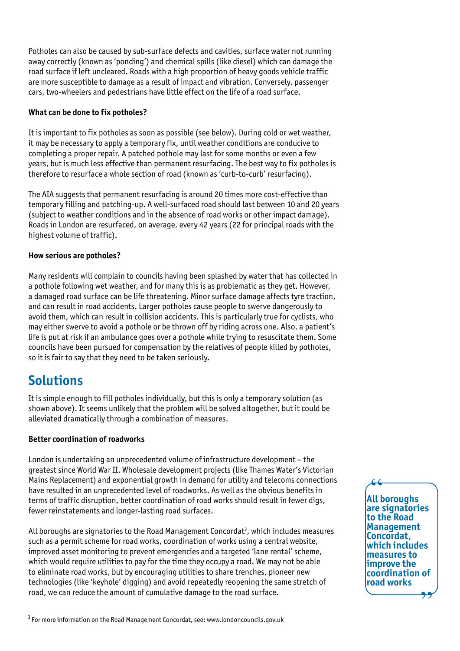Potholes can also be caused by sub-surface defects and cavities, surface water not running away correctly (known as 'ponding') and chemical spills (like diesel) which can damage the road surface if left uncleared. Roads with a high proportion of heavy goods vehicle traffic are more susceptible to damage as a result of impact and vibration. Conversely, passenger cars, two-wheelers and pedestrians have little effect on the life of a road surface.

#### **What can be done to fix potholes?**

It is important to fix potholes as soon as possible (see below). During cold or wet weather, it may be necessary to apply a temporary fix, until weather conditions are conducive to completing a proper repair. A patched pothole may last for some months or even a few years, but is much less effective than permanent resurfacing. The best way to fix potholes is therefore to resurface a whole section of road (known as 'curb-to-curb' resurfacing).

The AIA suggests that permanent resurfacing is around 20 times more cost-effective than temporary filling and patching-up. A well-surfaced road should last between 10 and 20 years (subject to weather conditions and in the absence of road works or other impact damage). Roads in London are resurfaced, on average, every 42 years (22 for principal roads with the highest volume of traffic).

#### **How serious are potholes?**

Many residents will complain to councils having been splashed by water that has collected in a pothole following wet weather, and for many this is as problematic as they get. However, a damaged road surface can be life threatening. Minor surface damage affects tyre traction, and can result in road accidents. Larger potholes cause people to swerve dangerously to avoid them, which can result in collision accidents. This is particularly true for cyclists, who may either swerve to avoid a pothole or be thrown off by riding across one. Also, a patient's life is put at risk if an ambulance goes over a pothole while trying to resuscitate them. Some councils have been pursued for compensation by the relatives of people killed by potholes, so it is fair to say that they need to be taken seriously.

# **Solutions**

It is simple enough to fill potholes individually, but this is only a temporary solution (as shown above). It seems unlikely that the problem will be solved altogether, but it could be alleviated dramatically through a combination of measures.

#### **Better coordination of roadworks**

London is undertaking an unprecedented volume of infrastructure development – the greatest since World War II. Wholesale development projects (like Thames Water's Victorian Mains Replacement) and exponential growth in demand for utility and telecoms connections have resulted in an unprecedented level of roadworks. As well as the obvious benefits in terms of traffic disruption, better coordination of road works should result in fewer digs, fewer reinstatements and longer-lasting road surfaces.

All boroughs are signatories to the Road Management Concordat<sup>3</sup>, which includes measures such as a permit scheme for road works, coordination of works using a central website, improved asset monitoring to prevent emergencies and a targeted 'lane rental' scheme, which would require utilities to pay for the time they occupy a road. We may not be able to eliminate road works, but by encouraging utilities to share trenches, pioneer new technologies (like 'keyhole' digging) and avoid repeatedly reopening the same stretch of road, we can reduce the amount of cumulative damage to the road surface.

**All boroughs**  " **are signatories to the Road Management Concordat, which includes measures to improve the coordination of road works** ,,